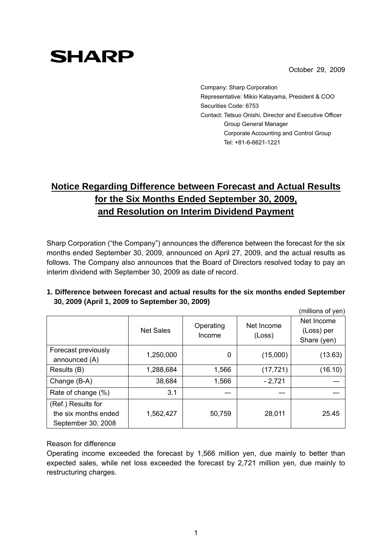October 29, 2009

Company: Sharp Corporation Representative: Mikio Katayama, President & COO Securities Code: 6753 Contact: Tetsuo Onishi, Director and Executive Officer Group General Manager Corporate Accounting and Control Group Tel: +81-6-6621-1221

# **Notice Regarding Difference between Forecast and Actual Results for the Six Months Ended September 30, 2009, and Resolution on Interim Dividend Payment**

Sharp Corporation ("the Company") announces the difference between the forecast for the six months ended September 30, 2009, announced on April 27, 2009, and the actual results as follows. The Company also announces that the Board of Directors resolved today to pay an interim dividend with September 30, 2009 as date of record.

|                                                                  |                  |                     |                      | (millions of yen)                       |
|------------------------------------------------------------------|------------------|---------------------|----------------------|-----------------------------------------|
|                                                                  | <b>Net Sales</b> | Operating<br>Income | Net Income<br>(Loss) | Net Income<br>(Loss) per<br>Share (yen) |
| Forecast previously<br>announced (A)                             | 1,250,000        | 0                   | (15,000)             | (13.63)                                 |
| Results (B)                                                      | 1,288,684        | 1,566               | (17, 721)            | (16.10)                                 |
| Change (B-A)                                                     | 38,684           | 1,566               | $-2,721$             |                                         |
| Rate of change (%)                                               | 3.1              |                     |                      |                                         |
| (Ref.) Results for<br>the six months ended<br>September 30, 2008 | 1,562,427        | 50,759              | 28,011               | 25.45                                   |

### **1. Difference between forecast and actual results for the six months ended September 30, 2009 (April 1, 2009 to September 30, 2009)**

#### Reason for difference

**SHARP** 

Operating income exceeded the forecast by 1,566 million yen, due mainly to better than expected sales, while net loss exceeded the forecast by 2,721 million yen, due mainly to restructuring charges.